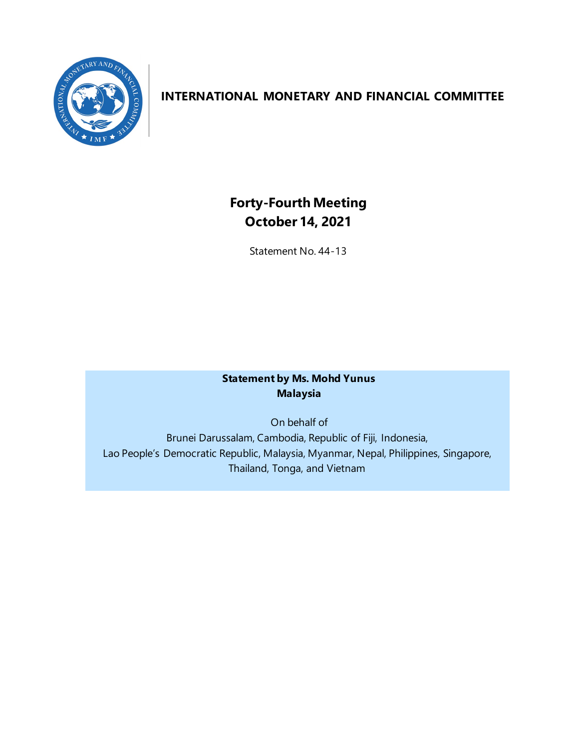

## **INTERNATIONAL MONETARY AND FINANCIAL COMMITTEE**

# **Forty-Fourth Meeting October 14, 2021**

Statement No. 44-13

### **Statement by Ms. Mohd Yunus Malaysia**

On behalf of Brunei Darussalam, Cambodia, Republic of Fiji, Indonesia, Lao People's Democratic Republic, Malaysia, Myanmar, Nepal, Philippines, Singapore, Thailand, Tonga, and Vietnam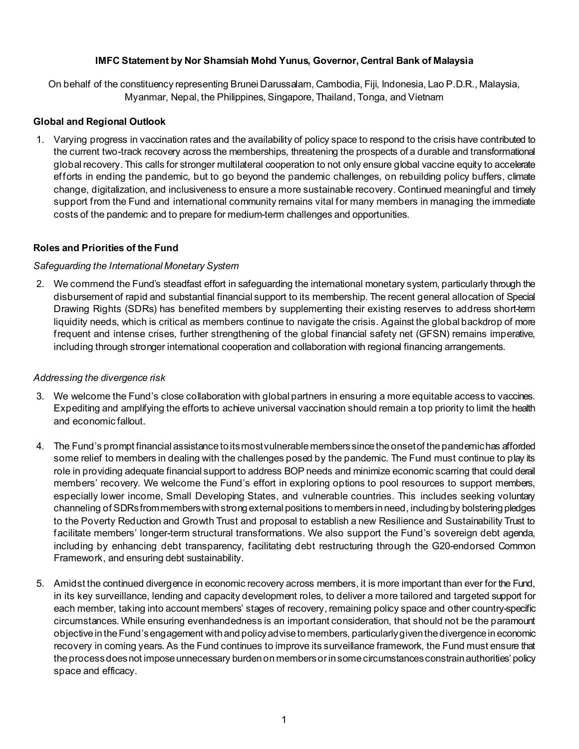#### **IMFC Statement by Nor Shamsiah Mohd Yunus, Governor, Central Bank of Malaysia**

On behalf of the constituency representing Brunei Darussalam, Cambodia, Fiji, Indonesia, Lao P.D.R., Malaysia, Myanmar, Nepal, the Philippines, Singapore, Thailand, Tonga, and Vietnam

#### **Global and Regional Outlook**

1. Varying progress in vaccination rates and the availability of policy space to respond to the crisis have contributed to the current two-track recovery across the memberships, threatening the prospects of a durable and transformational global recovery. This calls for stronger multilateral cooperation to not only ensure global vaccine equity to accelerate efforts in ending the pandemic, but to go beyond the pandemic challenges, on rebuilding policy buffers, climate change, digitalization, and inclusiveness to ensure a more sustainable recovery. Continued meaningful and timely support from the Fund and international community remains vital for many members in managing the immediate costs of the pandemic and to prepare for medium-term challenges and opportunities.

#### **Roles and Priorities of the Fund**

#### *Safeguarding the International Monetary System*

2. We commend the Fund's steadfast effort in safeguarding the international monetary system, particularly through the disbursement of rapid and substantial financial support to its membership. The recent general allocation of Special Drawing Rights (SDRs) has benefited members by supplementing their existing reserves to address short-term liquidity needs, which is critical as members continue to navigate the crisis. Against the global backdrop of more frequent and intense crises, further strengthening of the global financial safety net (GFSN) remains imperative, including through stronger international cooperation and collaboration with regional financing arrangements.

#### *Addressing the divergence risk*

- 3. We welcome the Fund's close collaboration with global partners in ensuring a more equitable access to vaccines. Expediting and amplifying the efforts to achieve universal vaccination should remain a top priority to limit the health and economic fallout.
- 4. The Fund's prompt financial assistance to its most vulnerable members since the onset of the pandemic has afforded some relief to members in dealing with the challenges posed by the pandemic. The Fund must continue to play its role in providing adequate financial support to address BOP needs and minimize economic scarring that could derail members' recovery. We welcome the Fund's effort in exploring options to pool resources to support members, especially lower income, Small Developing States, and vulnerable countries. This includes seeking voluntary channeling of SDRs from members with strong external positions to members in need, including by bolstering pledges to the Poverty Reduction and Growth Trust and proposal to establish a new Resilience and Sustainability Trust to facilitate members' longer-term structural transformations. We also support the Fund's sovereign debt agenda, including by enhancing debt transparency, facilitating debt restructuring through the G20-endorsed Common Framework, and ensuring debt sustainability.
- 5. Amidst the continued divergence in economic recovery across members, it is more important than ever for the Fund, in its key surveillance, lending and capacity development roles, to deliver a more tailored and targeted support for each member, taking into account members' stages of recovery, remaining policy space and other country-specific circumstances. While ensuring evenhandedness is an important consideration, that should not be the paramount objective in the Fund'sengagement with and policy advise to members, particularly given the divergence in economic recovery in coming years. As the Fund continues to improve its surveillance framework, the Fund must ensure that the process does not impose unnecessary burden on members or in some circumstances constrain authorities' policy space and efficacy.